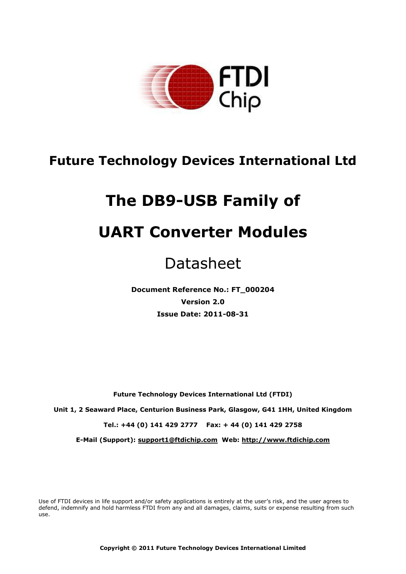

# **Future Technology Devices International Ltd**

# **The DB9-USB Family of**

# **UART Converter Modules**

# Datasheet

**Document Reference No.: FT\_000204 Version 2.0 Issue Date: 2011-08-31**

**Future Technology Devices International Ltd (FTDI)**

**Unit 1, 2 Seaward Place, Centurion Business Park, Glasgow, G41 1HH, United Kingdom**

**Tel.: +44 (0) 141 429 2777 Fax: + 44 (0) 141 429 2758**

**E-Mail (Support): support1@ftdichip.com Web: http://www.ftdichip.com**

Use of FTDI devices in life support and/or safety applications is entirely at the user's risk, and the user agrees to defend, indemnify and hold harmless FTDI from any and all damages, claims, suits or expense resulting from such use.

**Copyright © 2011 Future Technology Devices International Limited**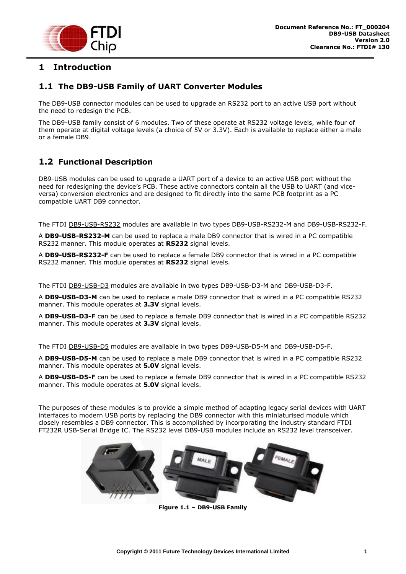

# <span id="page-1-0"></span>**1 Introduction**

## <span id="page-1-1"></span>**1.1 The DB9-USB Family of UART Converter Modules**

The DB9-USB connector modules can be used to upgrade an RS232 port to an active USB port without the need to redesign the PCB.

The DB9-USB family consist of 6 modules. Two of these operate at RS232 voltage levels, while four of them operate at digital voltage levels (a choice of 5V or 3.3V). Each is available to replace either a male or a female DB9.

# <span id="page-1-2"></span>**1.2 Functional Description**

DB9-USB modules can be used to upgrade a UART port of a device to an active USB port without the need for redesigning the device's PCB. These active connectors contain all the USB to UART (and viceversa) conversion electronics and are designed to fit directly into the same PCB footprint as a PC compatible UART DB9 connector.

The FTDI DB9-USB-RS232 modules are available in two types DB9-USB-RS232-M and DB9-USB-RS232-F.

A **DB9-USB-RS232-M** can be used to replace a male DB9 connector that is wired in a PC compatible RS232 manner. This module operates at **RS232** signal levels.

A **DB9-USB-RS232-F** can be used to replace a female DB9 connector that is wired in a PC compatible RS232 manner. This module operates at **RS232** signal levels.

The FTDI DB9-USB-D3 modules are available in two types DB9-USB-D3-M and DB9-USB-D3-F.

A **DB9-USB-D3-M** can be used to replace a male DB9 connector that is wired in a PC compatible RS232 manner. This module operates at **3.3V** signal levels.

A **DB9-USB-D3-F** can be used to replace a female DB9 connector that is wired in a PC compatible RS232 manner. This module operates at **3.3V** signal levels.

The FTDI DB9-USB-D5 modules are available in two types DB9-USB-D5-M and DB9-USB-D5-F.

A **DB9-USB-D5-M** can be used to replace a male DB9 connector that is wired in a PC compatible RS232 manner. This module operates at **5.0V** signal levels.

A **DB9-USB-D5-F** can be used to replace a female DB9 connector that is wired in a PC compatible RS232 manner. This module operates at **5.0V** signal levels.

The purposes of these modules is to provide a simple method of adapting legacy serial devices with UART interfaces to modern USB ports by replacing the DB9 connector with this miniaturised module which closely resembles a DB9 connector. This is accomplished by incorporating the industry standard FTDI FT232R USB-Serial Bridge IC. The RS232 level DB9-USB modules include an RS232 level transceiver.



**Figure 1.1 – DB9-USB Family**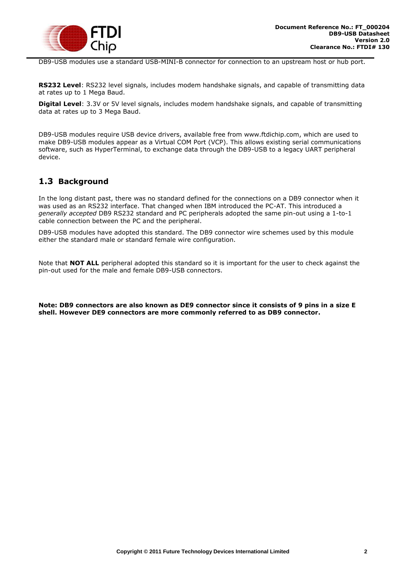

DB9-USB modules use a standard USB-MINI-B connector for connection to an upstream host or hub port.

**RS232 Level**: RS232 level signals, includes modem handshake signals, and capable of transmitting data at rates up to 1 Mega Baud.

**Digital Level**: 3.3V or 5V level signals, includes modem handshake signals, and capable of transmitting data at rates up to 3 Mega Baud.

DB9-USB modules require USB device drivers, available free from www.ftdichip.com, which are used to make DB9-USB modules appear as a Virtual COM Port (VCP). This allows existing serial communications software, such as HyperTerminal, to exchange data through the DB9-USB to a legacy UART peripheral device.

## <span id="page-2-0"></span>**1.3 Background**

In the long distant past, there was no standard defined for the connections on a DB9 connector when it was used as an RS232 interface. That changed when IBM introduced the PC-AT. This introduced a *generally accepted* DB9 RS232 standard and PC peripherals adopted the same pin-out using a 1-to-1 cable connection between the PC and the peripheral.

DB9-USB modules have adopted this standard. The DB9 connector wire schemes used by this module either the standard male or standard female wire configuration.

Note that **NOT ALL** peripheral adopted this standard so it is important for the user to check against the pin-out used for the male and female DB9-USB connectors.

**Note: DB9 connectors are also known as DE9 connector since it consists of 9 pins in a size E shell. However DE9 connectors are more commonly referred to as DB9 connector.**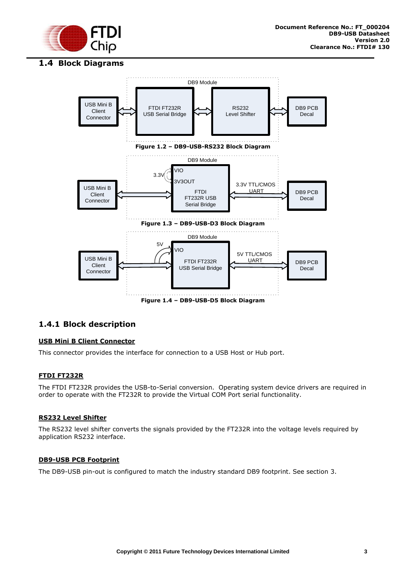

### <span id="page-3-0"></span>**1.4 Block Diagrams**



### <span id="page-3-1"></span>**1.4.1 Block description**

#### **USB Mini B Client Connector**

This connector provides the interface for connection to a USB Host or Hub port.

#### **FTDI FT232R**

The FTDI FT232R provides the USB-to-Serial conversion. Operating system device drivers are required in order to operate with the FT232R to provide the Virtual COM Port serial functionality.

#### **RS232 Level Shifter**

The RS232 level shifter converts the signals provided by the FT232R into the voltage levels required by application RS232 interface.

#### **DB9-USB PCB Footprint**

The DB9-USB pin-out is configured to match the industry standard DB9 footprint. See section [3.](#page-8-0)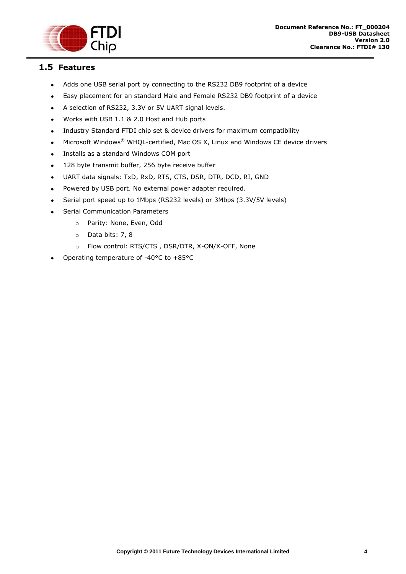

## <span id="page-4-0"></span>**1.5 Features**

- $\bullet$ Adds one USB serial port by connecting to the RS232 DB9 footprint of a device
- Easy placement for an standard Male and Female RS232 DB9 footprint of a device  $\bullet$
- A selection of RS232, 3.3V or 5V UART signal levels.  $\bullet$
- Works with USB 1.1 & 2.0 Host and Hub ports  $\bullet$
- Industry Standard FTDI chip set & device drivers for maximum compatibility  $\bullet$
- Microsoft Windows® WHQL-certified, Mac OS X, Linux and Windows CE device drivers  $\bullet$
- Installs as a standard Windows COM port  $\bullet$
- 128 byte transmit buffer, 256 byte receive buffer  $\bullet$
- UART data signals: TxD, RxD, RTS, CTS, DSR, DTR, DCD, RI, GND  $\bullet$
- Powered by USB port. No external power adapter required.  $\bullet$
- Serial port speed up to 1Mbps (RS232 levels) or 3Mbps (3.3V/5V levels)  $\bullet$
- Serial Communication Parameters  $\bullet$ 
	- o Parity: None, Even, Odd
	- o Data bits: 7, 8
	- o Flow control: RTS/CTS , DSR/DTR, X-ON/X-OFF, None
- Operating temperature of -40°C to +85°C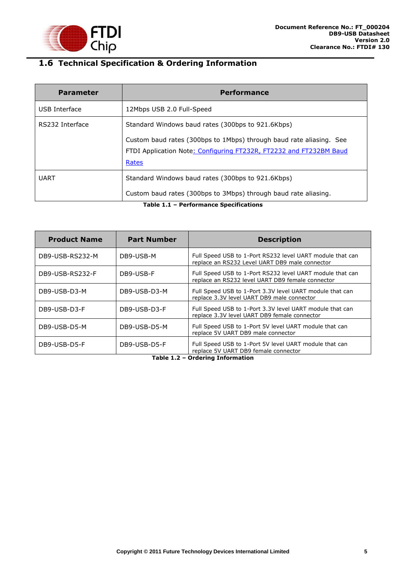

# <span id="page-5-0"></span>**1.6 Technical Specification & Ordering Information**

| <b>Parameter</b> | <b>Performance</b>                                                  |  |  |  |  |
|------------------|---------------------------------------------------------------------|--|--|--|--|
| USB Interface    | 12Mbps USB 2.0 Full-Speed                                           |  |  |  |  |
| RS232 Interface  | Standard Windows baud rates (300bps to 921.6Kbps)                   |  |  |  |  |
|                  | Custom baud rates (300bps to 1Mbps) through baud rate aliasing. See |  |  |  |  |
|                  | FTDI Application Note: Configuring FT232R, FT2232 and FT232BM Baud  |  |  |  |  |
|                  | Rates                                                               |  |  |  |  |
| <b>UART</b>      | Standard Windows baud rates (300bps to 921.6Kbps)                   |  |  |  |  |
|                  | Custom baud rates (300bps to 3Mbps) through baud rate aliasing.     |  |  |  |  |

**Table 1.1 – Performance Specifications**

| <b>Product Name</b> | <b>Part Number</b> | <b>Description</b>                                                                                            |
|---------------------|--------------------|---------------------------------------------------------------------------------------------------------------|
| DB9-USB-RS232-M     | DB9-USB-M          | Full Speed USB to 1-Port RS232 level UART module that can<br>replace an RS232 Level UART DB9 male connector   |
| DB9-USB-RS232-F     | DB9-USB-F          | Full Speed USB to 1-Port RS232 level UART module that can<br>replace an RS232 level UART DB9 female connector |
| DB9-USB-D3-M        | DB9-USB-D3-M       | Full Speed USB to 1-Port 3.3V level UART module that can<br>replace 3.3V level UART DB9 male connector        |
| DB9-USB-D3-F        | DB9-USB-D3-F       | Full Speed USB to 1-Port 3.3V level UART module that can<br>replace 3.3V level UART DB9 female connector      |
| DB9-USB-D5-M        | DB9-USB-D5-M       | Full Speed USB to 1-Port 5V level UART module that can<br>replace 5V UART DB9 male connector                  |
| DB9-USB-D5-F        | DB9-USB-D5-F       | Full Speed USB to 1-Port 5V level UART module that can<br>replace 5V UART DB9 female connector                |

**Table 1.2 – Ordering Information**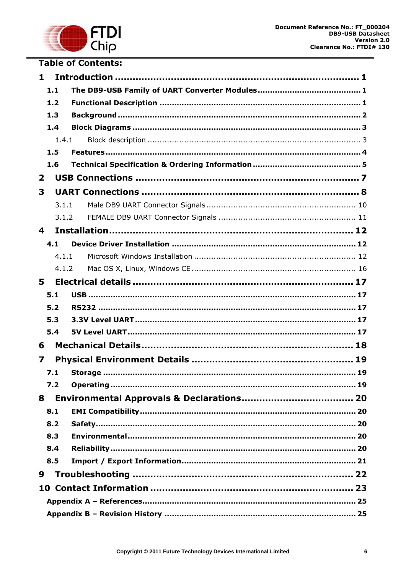

# **Table of Contents:**

| 1              |       |  |  |  |  |
|----------------|-------|--|--|--|--|
|                | 1.1   |  |  |  |  |
|                | 1.2   |  |  |  |  |
|                | 1.3   |  |  |  |  |
|                | 1.4   |  |  |  |  |
|                | 1.4.1 |  |  |  |  |
|                | 1.5   |  |  |  |  |
|                | 1.6   |  |  |  |  |
| $\overline{2}$ |       |  |  |  |  |
| 3              |       |  |  |  |  |
|                | 3.1.1 |  |  |  |  |
|                | 3.1.2 |  |  |  |  |
| 4              |       |  |  |  |  |
|                | 4.1   |  |  |  |  |
|                | 4.1.1 |  |  |  |  |
|                | 4.1.2 |  |  |  |  |
| 5              |       |  |  |  |  |
|                | 5.1   |  |  |  |  |
|                | 5.2   |  |  |  |  |
|                | 5.3   |  |  |  |  |
|                | 5.4   |  |  |  |  |
| 6              |       |  |  |  |  |
| 7              |       |  |  |  |  |
|                | 7.1   |  |  |  |  |
|                | 7.2   |  |  |  |  |
| 8              |       |  |  |  |  |
|                | 8.1   |  |  |  |  |
|                | 8.2   |  |  |  |  |
|                | 8.3   |  |  |  |  |
|                | 8.4   |  |  |  |  |
|                | 8.5   |  |  |  |  |
| 9              |       |  |  |  |  |
|                |       |  |  |  |  |
|                |       |  |  |  |  |
|                |       |  |  |  |  |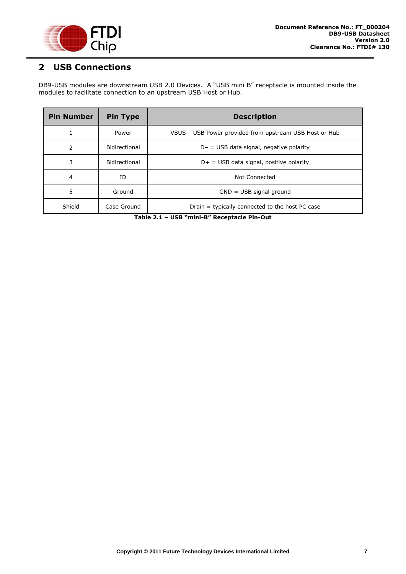

# <span id="page-7-0"></span>**2 USB Connections**

DB9-USB modules are downstream USB 2.0 Devices. A "USB mini B" receptacle is mounted inside the modules to facilitate connection to an upstream USB Host or Hub.

| <b>Pin Number</b> | <b>Pin Type</b> | <b>Description</b>                                      |  |  |  |  |
|-------------------|-----------------|---------------------------------------------------------|--|--|--|--|
| 1                 | Power           | VBUS – USB Power provided from upstream USB Host or Hub |  |  |  |  |
| 2                 | Bidirectional   | $D - =$ USB data signal, negative polarity              |  |  |  |  |
| 3                 | Bidirectional   | $D+$ = USB data signal, positive polarity               |  |  |  |  |
| 4                 | ID              | Not Connected                                           |  |  |  |  |
| 5                 | Ground          | $GND = USB$ signal ground                               |  |  |  |  |
| Shield            | Case Ground     | Drain = typically connected to the host PC case         |  |  |  |  |

**Table 2.1 – USB "mini-B" Receptacle Pin-Out**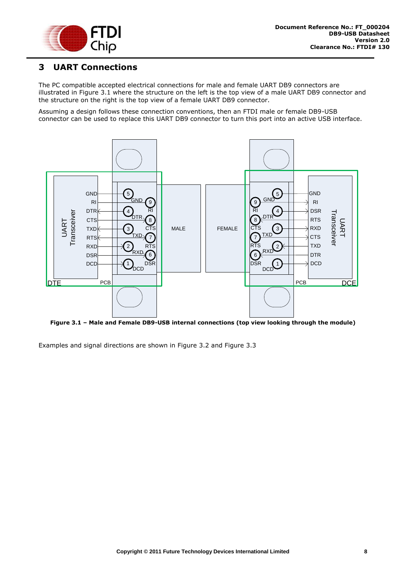

# <span id="page-8-0"></span>**3 UART Connections**

The PC compatible accepted electrical connections for male and female UART DB9 connectors are illustrated in [Figure 3.1](#page-8-1) where the structure on the left is the top view of a male UART DB9 connector and the structure on the right is the top view of a female UART DB9 connector.

Assuming a design follows these connection conventions, then an FTDI male or female DB9-USB connector can be used to replace this UART DB9 connector to turn this port into an active USB interface.



<span id="page-8-1"></span>**Figure 3.1 – Male and Female DB9-USB internal connections (top view looking through the module)**

Examples and signal directions are shown in [Figure 3.2](#page-9-0) and [Figure 3.3](#page-9-1)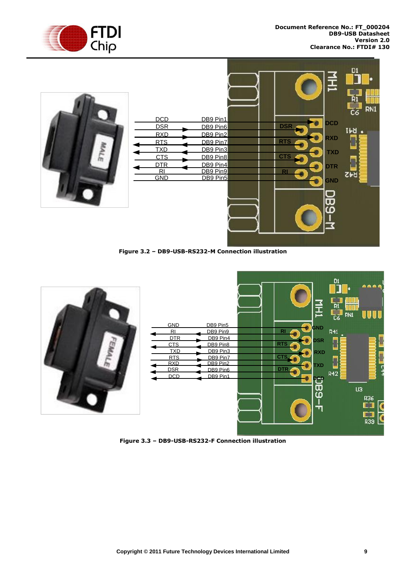



**Figure 3.2 – DB9-USB-RS232-M Connection illustration**

<span id="page-9-0"></span>

<span id="page-9-1"></span>**Figure 3.3 – DB9-USB-RS232-F Connection illustration**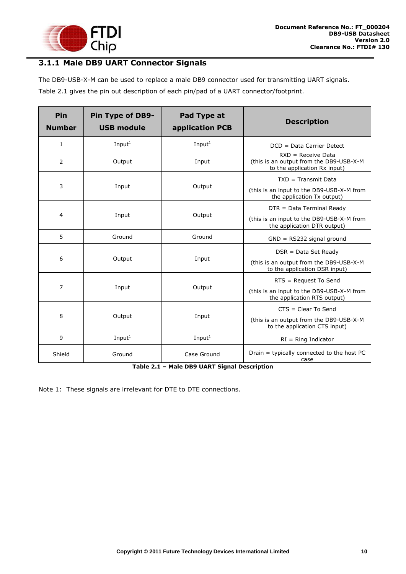

# <span id="page-10-0"></span>**3.1.1 Male DB9 UART Connector Signals**

The DB9-USB-X-M can be used to replace a male DB9 connector used for transmitting UART signals.

Table 2.1 gives the pin out description of each pin/pad of a UART connector/footprint.

| Pin<br><b>Number</b> | Pin Type of DB9-<br><b>USB module</b> | Pad Type at<br>application PCB | <b>Description</b>                                                                              |
|----------------------|---------------------------------------|--------------------------------|-------------------------------------------------------------------------------------------------|
| $\mathbf{1}$         | Input <sup>1</sup>                    | Input $1$                      | DCD = Data Carrier Detect                                                                       |
| 2                    | Output                                | Input                          | $RXD = Receive Data$<br>(this is an output from the DB9-USB-X-M<br>to the application Rx input) |
|                      |                                       |                                | $TXD = Transmit Data$                                                                           |
| 3                    | Input                                 | Output                         | (this is an input to the DB9-USB-X-M from<br>the application Tx output)                         |
|                      |                                       |                                | DTR = Data Terminal Ready                                                                       |
| 4                    | Input                                 | Output                         | (this is an input to the DB9-USB-X-M from<br>the application DTR output)                        |
| 5                    | Ground                                | Ground                         | $GND = RS232$ signal ground                                                                     |
|                      |                                       |                                | $DSR = Data Set$ Ready                                                                          |
| 6                    | Output                                | Input                          | (this is an output from the DB9-USB-X-M<br>to the application DSR input)                        |
|                      |                                       |                                | $RTS = Request To Send$                                                                         |
| $\overline{7}$       | Input                                 | Output                         | (this is an input to the DB9-USB-X-M from<br>the application RTS output)                        |
|                      |                                       |                                | $CTS = Clear To Send$                                                                           |
| 8                    | Output                                | Input                          | (this is an output from the DB9-USB-X-M<br>to the application CTS input)                        |
| 9                    | Input $1$                             | Input $1$                      | $RI = Ring Indicator$                                                                           |
| Shield               | Ground                                | Case Ground                    | Drain = typically connected to the host PC<br>case                                              |

**Table 2.1 – Male DB9 UART Signal Description**

Note 1: These signals are irrelevant for DTE to DTE connections.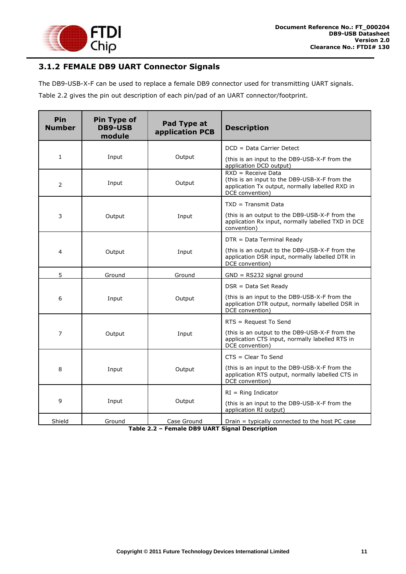

# <span id="page-11-0"></span>**3.1.2 FEMALE DB9 UART Connector Signals**

The DB9-USB-X-F can be used to replace a female DB9 connector used for transmitting UART signals.

Table 2.2 gives the pin out description of each pin/pad of an UART connector/footprint.

| Pin<br><b>Number</b> | <b>Pin Type of</b><br><b>DB9-USB</b><br>module | Pad Type at<br>application PCB | <b>Description</b>                                                                                                                          |  |
|----------------------|------------------------------------------------|--------------------------------|---------------------------------------------------------------------------------------------------------------------------------------------|--|
|                      |                                                |                                | DCD = Data Carrier Detect                                                                                                                   |  |
| $\mathbf{1}$         | Input                                          | Output                         | (this is an input to the DB9-USB-X-F from the<br>application DCD output)                                                                    |  |
| 2                    | Input                                          | Output                         | $RXD = Receive Data$<br>(this is an input to the DB9-USB-X-F from the<br>application Tx output, normally labelled RXD in<br>DCE convention) |  |
|                      |                                                |                                | $TXD = Transmit Data$                                                                                                                       |  |
| 3                    | Output                                         | Input                          | (this is an output to the DB9-USB-X-F from the<br>application Rx input, normally labelled TXD in DCE<br>convention)                         |  |
|                      |                                                |                                | DTR = Data Terminal Ready                                                                                                                   |  |
| 4                    | Output                                         | Input                          | (this is an output to the DB9-USB-X-F from the<br>application DSR input, normally labelled DTR in<br>DCE convention)                        |  |
| 5                    | Ground                                         | Ground                         | $GND = RS232$ signal ground                                                                                                                 |  |
|                      |                                                |                                | $DSR = Data Set$ Ready                                                                                                                      |  |
| 6                    | Input                                          | Output                         | (this is an input to the DB9-USB-X-F from the<br>application DTR output, normally labelled DSR in<br>DCE convention)                        |  |
|                      |                                                |                                | RTS = Request To Send                                                                                                                       |  |
| 7                    | Output                                         | Input                          | (this is an output to the DB9-USB-X-F from the<br>application CTS input, normally labelled RTS in<br>DCE convention)                        |  |
|                      |                                                |                                | $CTS = Clear To Send$                                                                                                                       |  |
| 8                    | Input                                          | Output                         | (this is an input to the DB9-USB-X-F from the<br>application RTS output, normally labelled CTS in<br>DCE convention)                        |  |
|                      |                                                |                                | $RI = Ring Indicator$                                                                                                                       |  |
| 9                    | Input                                          | Output                         | (this is an input to the DB9-USB-X-F from the<br>application RI output)                                                                     |  |
| Shield               | Ground                                         | Case Ground                    | Drain = typically connected to the host PC case                                                                                             |  |

**Table 2.2 – Female DB9 UART Signal Description**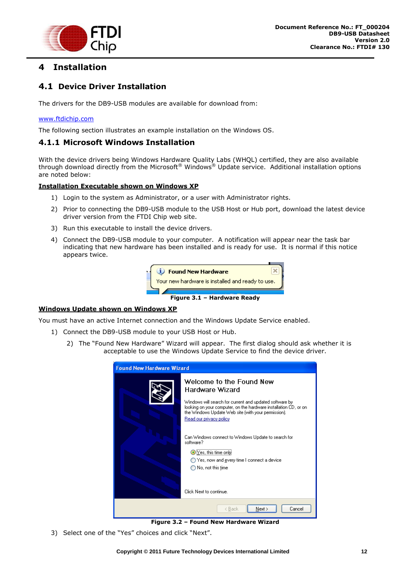

# <span id="page-12-0"></span>**4 Installation**

## <span id="page-12-1"></span>**4.1 Device Driver Installation**

The drivers for the DB9-USB modules are available for download from:

#### [www.ftdichip.com](http://www.ftdichip.com/)

The following section illustrates an example installation on the Windows OS.

#### <span id="page-12-2"></span>**4.1.1 Microsoft Windows Installation**

With the device drivers being Windows Hardware Quality Labs (WHQL) certified, they are also available through download directly from the Microsoft® Windows® Update service. Additional installation options are noted below:

#### **Installation Executable shown on Windows XP**

- 1) Login to the system as Administrator, or a user with Administrator rights.
- 2) Prior to connecting the DB9-USB module to the USB Host or Hub port, download the latest device driver version from the FTDI Chip web site.
- 3) Run this executable to install the device drivers.
- 4) Connect the DB9-USB module to your computer. A notification will appear near the task bar indicating that new hardware has been installed and is ready for use. It is normal if this notice appears twice.



#### **Windows Update shown on Windows XP**

You must have an active Internet connection and the Windows Update Service enabled.

- 1) Connect the DB9-USB module to your USB Host or Hub.
	- 2) The "Found New Hardware" Wizard will appear. The first dialog should ask whether it is acceptable to use the Windows Update Service to find the device driver.



**Figure 3.2 – Found New Hardware Wizard**

3) Select one of the "Yes" choices and click "Next".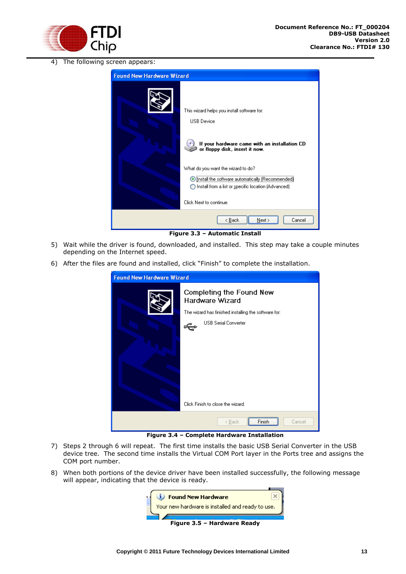

4) The following screen appears:

| <b>Found New Hardware Wizard</b> |                                                                                                                                                                                           |
|----------------------------------|-------------------------------------------------------------------------------------------------------------------------------------------------------------------------------------------|
|                                  | This wizard helps you install software for:<br><b>USB</b> Device<br>If your hardware came with an installation CD<br>or floppy disk, insert it now.<br>What do you want the wizard to do? |
|                                  | O Install the software automatically (Recommended)<br>Install from a list or specific location (Advanced)                                                                                 |
|                                  | Click Next to continue.                                                                                                                                                                   |
|                                  | < <u>B</u> ack<br>Next ><br>Cancel                                                                                                                                                        |

**Figure 3.3 – Automatic Install**

- 5) Wait while the driver is found, downloaded, and installed. This step may take a couple minutes depending on the Internet speed.
- 6) After the files are found and installed, click "Finish" to complete the installation.



**Figure 3.4 – Complete Hardware Installation**

- 7) Steps 2 through 6 will repeat. The first time installs the basic USB Serial Converter in the USB device tree. The second time installs the Virtual COM Port layer in the Ports tree and assigns the COM port number.
- 8) When both portions of the device driver have been installed successfully, the following message will appear, indicating that the device is ready.

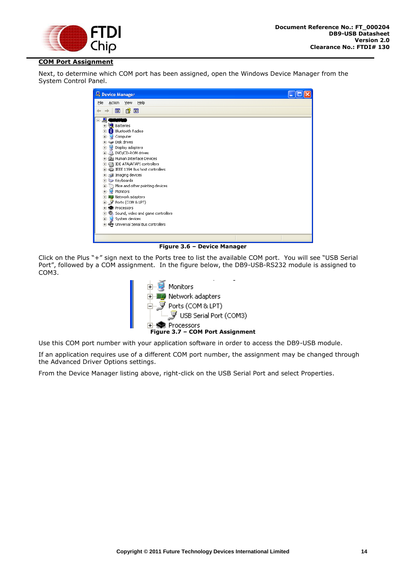

#### **COM Port Assignment**

Next, to determine which COM port has been assigned, open the Windows Device Manager from the System Control Panel.

| Device Manager                                                                                                                                                                                                                                                                                                                                                                                                                                                                                                                                                                                         |  |
|--------------------------------------------------------------------------------------------------------------------------------------------------------------------------------------------------------------------------------------------------------------------------------------------------------------------------------------------------------------------------------------------------------------------------------------------------------------------------------------------------------------------------------------------------------------------------------------------------------|--|
| Eile<br>Action<br>View<br>Help                                                                                                                                                                                                                                                                                                                                                                                                                                                                                                                                                                         |  |
| 18 国<br>晅                                                                                                                                                                                                                                                                                                                                                                                                                                                                                                                                                                                              |  |
| 복<br>E<br><b>Batteries</b><br>由<br>∙®<br>Bluetooth Radios<br>Ė<br>Computer<br>Ė<br>Disk drives<br>$\overline{+}$<br>Display adapters<br>E 2 DVD/CD-ROM drives<br>由 優 Human Interface Devices<br>由 图 IDE ATA/ATAPI controllers<br>El- <a>IEEE 1394 Bus host controllers<br/>Imaging devices<br/>El Keyboards<br/>H. Mice and other pointing devices<br/><b>E</b> Monitors<br/><b>H</b> 图 Network adapters<br/>中<i>,J</i>Ports (COM&amp;LPT)<br/><b>H</b>-<br/> <b>Ref</b> Processors<br/>Sound, video and game controllers<br/>Ė<br/>E- System devices<br>由 G Universal Serial Bus controllers</br></a> |  |
|                                                                                                                                                                                                                                                                                                                                                                                                                                                                                                                                                                                                        |  |

**Figure 3.6 – Device Manager**

Click on the Plus "+" sign next to the Ports tree to list the available COM port. You will see "USB Serial Port", followed by a COM assignment. In the figure below, the DB9-USB-RS232 module is assigned to COM3.



Use this COM port number with your application software in order to access the DB9-USB module.

If an application requires use of a different COM port number, the assignment may be changed through the Advanced Driver Options settings.

From the Device Manager listing above, right-click on the USB Serial Port and select Properties.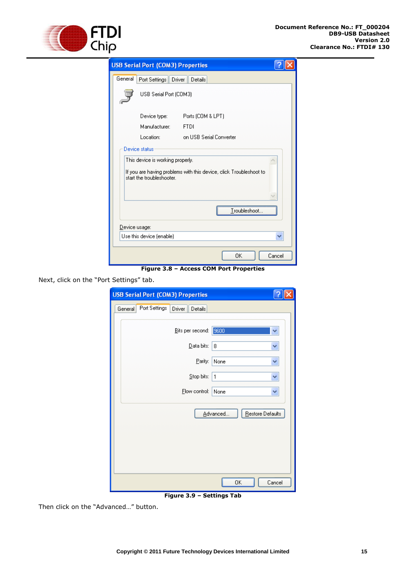

|                                                                                                                                     | <b>USB Serial Port (COM3) Properties</b> |                          |  |  |
|-------------------------------------------------------------------------------------------------------------------------------------|------------------------------------------|--------------------------|--|--|
| General                                                                                                                             | Port Settings                            | Details<br><b>Driver</b> |  |  |
|                                                                                                                                     | USB Serial Port (COM3)                   |                          |  |  |
|                                                                                                                                     | Device type:                             | Ports (COM & LPT)        |  |  |
|                                                                                                                                     | Manufacturer:                            | <b>FTDI</b>              |  |  |
|                                                                                                                                     | Location:                                | on USB Serial Converter  |  |  |
| This device is working properly.<br>If you are having problems with this device, click Troubleshoot to<br>start the troubleshooter. |                                          |                          |  |  |
| Troubleshoot<br>Device usage:                                                                                                       |                                          |                          |  |  |
| Use this device (enable)                                                                                                            |                                          |                          |  |  |
|                                                                                                                                     |                                          | OΚ<br>Cancel             |  |  |

**Figure 3.8 – Access COM Port Properties**

Next, click on the "Port Settings" tab.

|         |               | <b>USB Serial Port (COM3) Properties</b> |              |                  |        |  |
|---------|---------------|------------------------------------------|--------------|------------------|--------|--|
| General | Port Settings | Driver<br>Details                        |              |                  |        |  |
|         |               |                                          |              |                  |        |  |
|         |               | Bits per second:                         | 9600         |                  | ٧      |  |
|         |               | Data bits:                               | 8            |                  | v      |  |
|         |               | Parity:                                  | None         |                  | ٧      |  |
|         |               | Stop bits:                               | $\mathbf{1}$ |                  | v      |  |
|         |               | Elow control:                            | None         |                  | ٧      |  |
|         |               |                                          | Advanced     | Restore Defaults |        |  |
|         |               |                                          | 0K           |                  | Cancel |  |

**Figure 3.9 – Settings Tab**

Then click on the "Advanced…" button.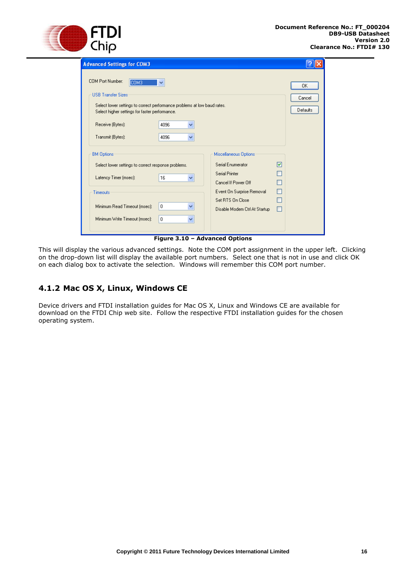

| <b>Advanced Settings for COM3</b>                                                                                                                                                               |                                                                                     |                          |
|-------------------------------------------------------------------------------------------------------------------------------------------------------------------------------------------------|-------------------------------------------------------------------------------------|--------------------------|
| <b>COM Port Number:</b><br>COM3<br>v<br><b>USB Transfer Sizes</b><br>Select lower settings to correct performance problems at low baud rates.<br>Select higher settings for faster performance. |                                                                                     | 0K<br>Cancel<br>Defaults |
| Receive (Bytes):<br>4096<br>v<br>Transmit (Bytes):<br>4096<br>v                                                                                                                                 |                                                                                     |                          |
| <b>BM Options</b><br>Select lower settings to correct response problems.<br>Latency Timer (msec):<br>16<br>v                                                                                    | Miscellaneous Options<br>Serial Enumerator<br>Serial Printer<br>Cancel If Power Off | ☑                        |
| Timeouts<br>Minimum Read Timeout (msec):<br>0<br>v<br>Minimum Write Timeout (msec):<br>$\mathbf{0}$<br>v                                                                                        | Event On Surprise Removal<br>Set RTS On Close<br>Disable Modem Ctrl At Startup      | П                        |
| Figure 3.10 - Advanced Options                                                                                                                                                                  |                                                                                     |                          |

This will display the various advanced settings. Note the COM port assignment in the upper left. Clicking on the drop-down list will display the available port numbers. Select one that is not in use and click OK on each dialog box to activate the selection. Windows will remember this COM port number.

# <span id="page-16-0"></span>**4.1.2 Mac OS X, Linux, Windows CE**

Device drivers and FTDI installation guides for Mac OS X, Linux and Windows CE are available for download on the FTDI Chip web site. Follow the respective FTDI installation guides for the chosen operating system.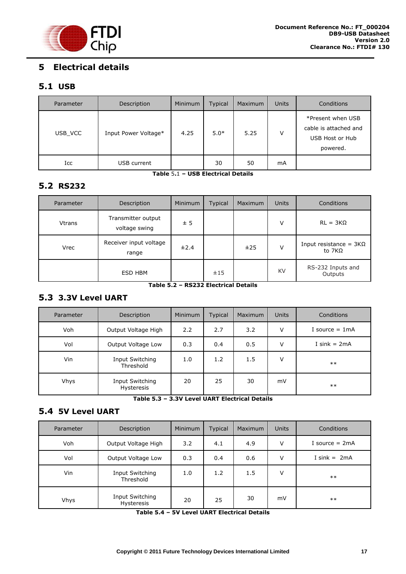

# <span id="page-17-0"></span>**5 Electrical details**

## <span id="page-17-1"></span>**5.1 USB**

| Parameter | Description          | Minimum | Typical | Maximum | <b>Units</b> | Conditions                                                                |
|-----------|----------------------|---------|---------|---------|--------------|---------------------------------------------------------------------------|
| USB VCC   | Input Power Voltage* | 4.25    | $5.0*$  | 5.25    | v            | *Present when USB<br>cable is attached and<br>USB Host or Hub<br>powered. |
| Icc       | USB current          |         | 30      | 50      | mA           |                                                                           |

**Table** 5**.**1 **– USB Electrical Details**

## <span id="page-17-2"></span>**5.2 RS232**

| Parameter     | Description                         | <b>Minimum</b> | <b>Typical</b>                   | Maximum | <b>Units</b> | Conditions                              |
|---------------|-------------------------------------|----------------|----------------------------------|---------|--------------|-----------------------------------------|
| <b>Vtrans</b> | Transmitter output<br>voltage swing | ± 5            |                                  |         | ٧            | $RL = 3K\Omega$                         |
| <b>Vrec</b>   | Receiver input voltage<br>range     | ±2.4           |                                  | ±25     | v            | Input resistance = $3K\Omega$<br>to 7KΩ |
|               | ESD HBM<br>.                        |                | ±15<br><b>BOBBBBL LETTER LIB</b> |         | KV           | RS-232 Inputs and<br>Outputs            |

**Table 5.2 – RS232 Electrical Details**

## <span id="page-17-3"></span>**5.3 3.3V Level UART**

| Parameter   | Description                   | <b>Minimum</b> | Typical | Maximum | <b>Units</b> | Conditions       |
|-------------|-------------------------------|----------------|---------|---------|--------------|------------------|
| Voh         | Output Voltage High           | 2.2            | 2.7     | 3.2     | v            | I source $= 1mA$ |
| Vol         | Output Voltage Low            | 0.3            | 0.4     | 0.5     | v            | I sink $= 2mA$   |
| Vin         | Input Switching<br>Threshold  | 1.0            | 1.2     | 1.5     | v            | $***$            |
| <b>Vhys</b> | Input Switching<br>Hysteresis | 20             | 25      | 30      | mV           | $***$            |

**Table 5.3 – 3.3V Level UART Electrical Details**

## <span id="page-17-4"></span>**5.4 5V Level UART**

| Parameter   | Description                   | <b>Minimum</b> | <b>Typical</b> | Maximum | <b>Units</b> | Conditions       |
|-------------|-------------------------------|----------------|----------------|---------|--------------|------------------|
| Voh         | Output Voltage High           | 3.2            | 4.1            | 4.9     | V            | I source $= 2mA$ |
| Vol         | Output Voltage Low            | 0.3            | 0.4            | 0.6     | v            | I sink = $2mA$   |
| Vin         | Input Switching<br>Threshold  | 1.0            | 1.2            | 1.5     | ν            | $***$            |
| <b>Vhys</b> | Input Switching<br>Hysteresis | 20             | 25             | 30      | mV           | $***$            |

**Table 5.4 – 5V Level UART Electrical Details**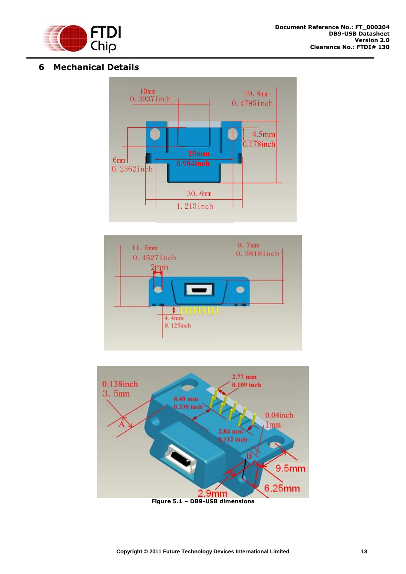

## <span id="page-18-0"></span>**6 Mechanical Details**





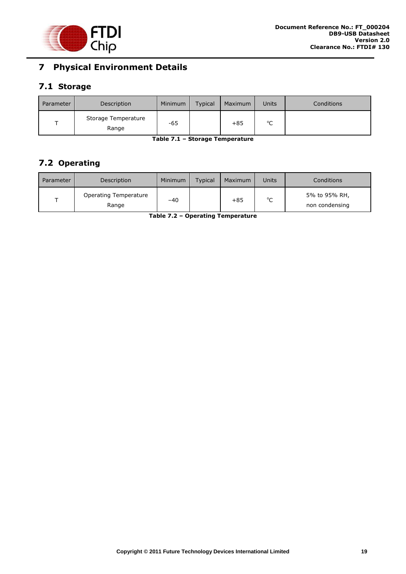

# <span id="page-19-0"></span>**7 Physical Environment Details**

## <span id="page-19-1"></span>**7.1 Storage**

| Parameter | Description                  | Minimum | <b>Typical</b> | Maximum | Units       | Conditions |
|-----------|------------------------------|---------|----------------|---------|-------------|------------|
|           | Storage Temperature<br>Range | -65     |                | $+85$   | $\sim$<br>֊ |            |

**Table 7.1 – Storage Temperature**

# <span id="page-19-2"></span>**7.2 Operating**

| Parameter | Description                    | Minimum | <b>Typical</b> | Maximum | Units | Conditions                      |
|-----------|--------------------------------|---------|----------------|---------|-------|---------------------------------|
|           | Operating Temperature<br>Range | $-40$   |                | $+85$   | °C    | 5% to 95% RH,<br>non condensing |

**Table 7.2 – Operating Temperature**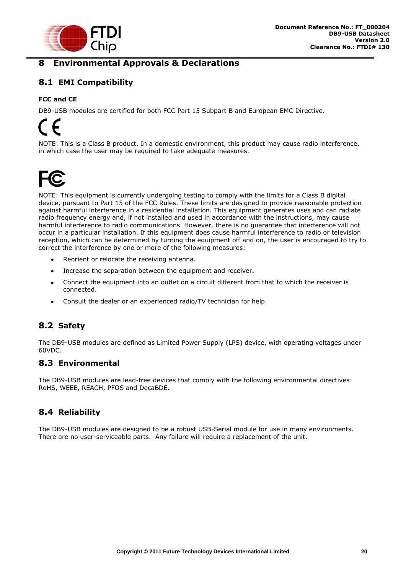

# <span id="page-20-0"></span>**8 Environmental Approvals & Declarations**

# <span id="page-20-1"></span>**8.1 EMI Compatibility**

### **FCC and CE**

DB9-USB modules are certified for both FCC Part 15 Subpart B and European EMC Directive.

NOTE: This is a Class B product. In a domestic environment, this product may cause radio interference, in which case the user may be required to take adequate measures.



NOTE: This equipment is currently undergoing testing to comply with the limits for a Class B digital device, pursuant to Part 15 of the FCC Rules. These limits are designed to provide reasonable protection against harmful interference in a residential installation. This equipment generates uses and can radiate radio frequency energy and, if not installed and used in accordance with the instructions, may cause harmful interference to radio communications. However, there is no guarantee that interference will not occur in a particular installation. If this equipment does cause harmful interference to radio or television reception, which can be determined by turning the equipment off and on, the user is encouraged to try to correct the interference by one or more of the following measures:

- Reorient or relocate the receiving antenna.
- Increase the separation between the equipment and receiver.  $\bullet$
- Connect the equipment into an outlet on a circuit different from that to which the receiver is  $\bullet$ connected.
- Consult the dealer or an experienced radio/TV technician for help.  $\bullet$

## <span id="page-20-2"></span>**8.2 Safety**

The DB9-USB modules are defined as Limited Power Supply (LPS) device, with operating voltages under 60VDC.

## <span id="page-20-3"></span>**8.3 Environmental**

The DB9-USB modules are lead-free devices that comply with the following environmental directives: RoHS, WEEE, REACH, PFOS and DecaBDE.

## <span id="page-20-4"></span>**8.4 Reliability**

The DB9-USB modules are designed to be a robust USB-Serial module for use in many environments. There are no user-serviceable parts. Any failure will require a replacement of the unit.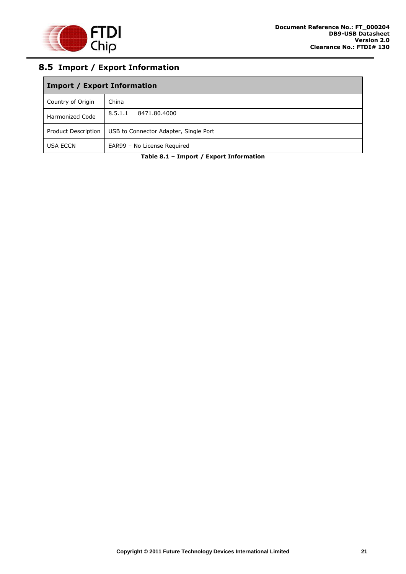

# <span id="page-21-0"></span>**8.5 Import / Export Information**

| <b>Import / Export Information</b> |                                       |  |  |  |  |
|------------------------------------|---------------------------------------|--|--|--|--|
| Country of Origin                  | China                                 |  |  |  |  |
| <b>Harmonized Code</b>             | 8.5.1.1<br>8471.80.4000               |  |  |  |  |
| Product Description                | USB to Connector Adapter, Single Port |  |  |  |  |
| <b>USA ECCN</b>                    | EAR99 - No License Required           |  |  |  |  |

**Table 8.1 – Import / Export Information**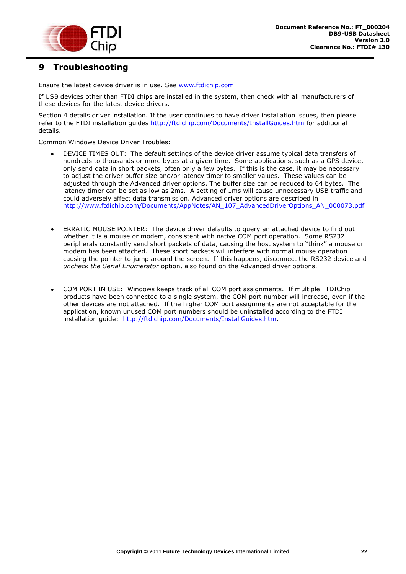

# <span id="page-22-0"></span>**9 Troubleshooting**

Ensure the latest device driver is in use. See [www.ftdichip.com](http://www.ftdichip.com/)

If USB devices other than FTDI chips are installed in the system, then check with all manufacturers of these devices for the latest device drivers.

Section 4 details driver installation. If the user continues to have driver installation issues, then please refer to the FTDI installation guides<http://ftdichip.com/Documents/InstallGuides.htm> for additional details.

Common Windows Device Driver Troubles:

- DEVICE TIMES OUT: The default settings of the device driver assume typical data transfers of hundreds to thousands or more bytes at a given time. Some applications, such as a GPS device, only send data in short packets, often only a few bytes. If this is the case, it may be necessary to adjust the driver buffer size and/or latency timer to smaller values. These values can be adjusted through the Advanced driver options. The buffer size can be reduced to 64 bytes. The latency timer can be set as low as 2ms. A setting of 1ms will cause unnecessary USB traffic and could adversely affect data transmission. Advanced driver options are described in [http://www.ftdichip.com/Documents/AppNotes/AN\\_107\\_AdvancedDriverOptions\\_AN\\_000073.pdf](http://www.ftdichip.com/Documents/AppNotes/AN_107_AdvancedDriverOptions_AN_000073.pdf)
- ERRATIC MOUSE POINTER: The device driver defaults to query an attached device to find out whether it is a mouse or modem, consistent with native COM port operation. Some RS232 peripherals constantly send short packets of data, causing the host system to "think" a mouse or modem has been attached. These short packets will interfere with normal mouse operation causing the pointer to jump around the screen. If this happens, disconnect the RS232 device and *uncheck the Serial Enumerator* option, also found on the Advanced driver options.
- COM PORT IN USE: Windows keeps track of all COM port assignments. If multiple FTDIChip products have been connected to a single system, the COM port number will increase, even if the other devices are not attached. If the higher COM port assignments are not acceptable for the application, known unused COM port numbers should be uninstalled according to the FTDI installation guide: [http://ftdichip.com/Documents/InstallGuides.htm.](http://ftdichip.com/Documents/InstallGuides.htm)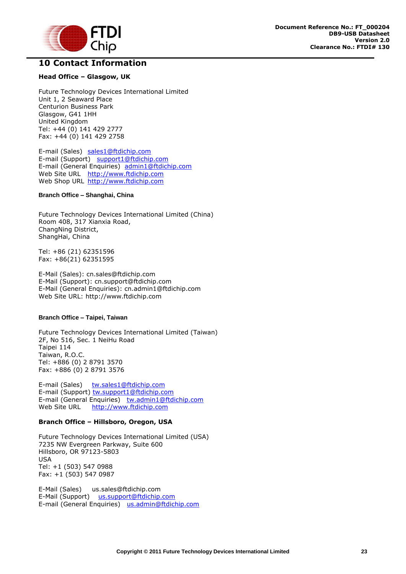

## <span id="page-23-0"></span>**10 Contact Information**

#### **Head Office – Glasgow, UK**

Future Technology Devices International Limited Unit 1, 2 Seaward Place Centurion Business Park Glasgow, G41 1HH United Kingdom Tel: +44 (0) 141 429 2777 Fax: +44 (0) 141 429 2758

E-mail (Sales) [sales1@ftdichip.com](mailto:sales1@ftdichip.com) E-mail (Support) [support1@ftdichip.com](mailto:support1@ftdichip.com) E-mail (General Enquiries) [admin1@ftdichip.com](mailto:admin1@ftdichip.com) Web Site URL [http://www.ftdichip.com](http://www.ftdichip.com/) Web Shop URL [http://www.ftdichip.com](http://www.ftdichip.com/)

#### **Branch Office – Shanghai, China**

Future Technology Devices International Limited (China) Room 408, 317 Xianxia Road, ChangNing District, ShangHai, China

Tel: +86 [\(21\) 6](LiveCall:(503)547-0988)2351596 Fax: +8[6\(21\) 6](LiveCall:(503)547-0987)2351595

E-Mail (Sales): [cn.sales@ftdichip.com](mailto:cn.sales@ftdichip.com) E-Mail (Support): c[n.support@ftdichip.](mailto:.support@ftdichip)com E-Mail (General Enquiries): cn[.admin1@ftdichip.com](mailto:admin1@ftdichip.com) Web Site URL: [http://www.ftdichip.com](http://www.ftdichip.com/)

#### **Branch Office – Taipei, Taiwan**

Future Technology Devices International Limited (Taiwan) 2F, No 516, Sec. 1 NeiHu Road Taipei 114 Taiwan, R.O.C. Tel: +886 (0) 2 8791 3570 Fax: +886 (0) 2 8791 3576

E-mail (Sales) [tw.sales1@ftdichip.com](mailto:tw.sales1@ftdichip.com) E-mail (Support) [tw.support1@ftdichip.com](mailto:tw.support1@ftdichip.com) E-mail (General Enquiries) [tw.admin1@ftdichip.com](mailto:tw.admin1@ftdichip.com) Web Site URL [http://www.ftdichip.com](http://www.ftdichip.com/)

#### **Branch Office – Hillsboro, Oregon, USA**

Future Technology Devices International Limited (USA) 7235 NW Evergreen Parkway, Suite 600 Hillsboro, OR 97123-5803 USA Tel: +1 (503) 547 0988 Fax: +1 (503) 547 0987

E-Mail (Sales) [us.sales@ftdichip.com](mailto:us.sales@ftdichip.com) E-Mail (Support) [us.support@ftdichip.com](mailto:us.support@ftdichip.com) E-mail (General Enquiries) [us.admin@ftdichip.com](mailto:us.admin@ftdichip.com)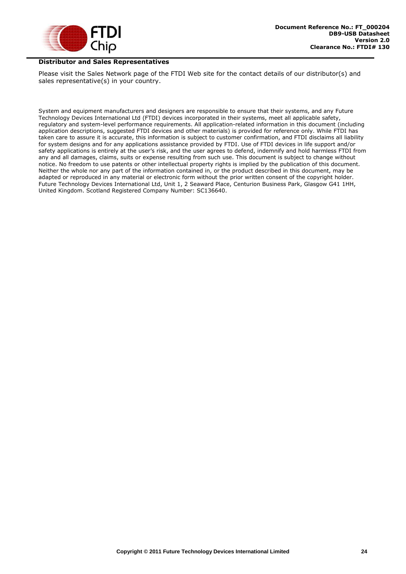

#### **Distributor and Sales Representatives**

Please visit the Sales Network page of the FTDI Web site for the contact details of our distributor(s) and sales representative(s) in your country.

System and equipment manufacturers and designers are responsible to ensure that their systems, and any Future Technology Devices International Ltd (FTDI) devices incorporated in their systems, meet all applicable safety, regulatory and system-level performance requirements. All application-related information in this document (including application descriptions, suggested FTDI devices and other materials) is provided for reference only. While FTDI has taken care to assure it is accurate, this information is subject to customer confirmation, and FTDI disclaims all liability for system designs and for any applications assistance provided by FTDI. Use of FTDI devices in life support and/or safety applications is entirely at the user's risk, and the user agrees to defend, indemnify and hold harmless FTDI from any and all damages, claims, suits or expense resulting from such use. This document is subject to change without notice. No freedom to use patents or other intellectual property rights is implied by the publication of this document. Neither the whole nor any part of the information contained in, or the product described in this document, may be adapted or reproduced in any material or electronic form without the prior written consent of the copyright holder. Future Technology Devices International Ltd, Unit 1, 2 Seaward Place, Centurion Business Park, Glasgow G41 1HH, United Kingdom. Scotland Registered Company Number: SC136640.